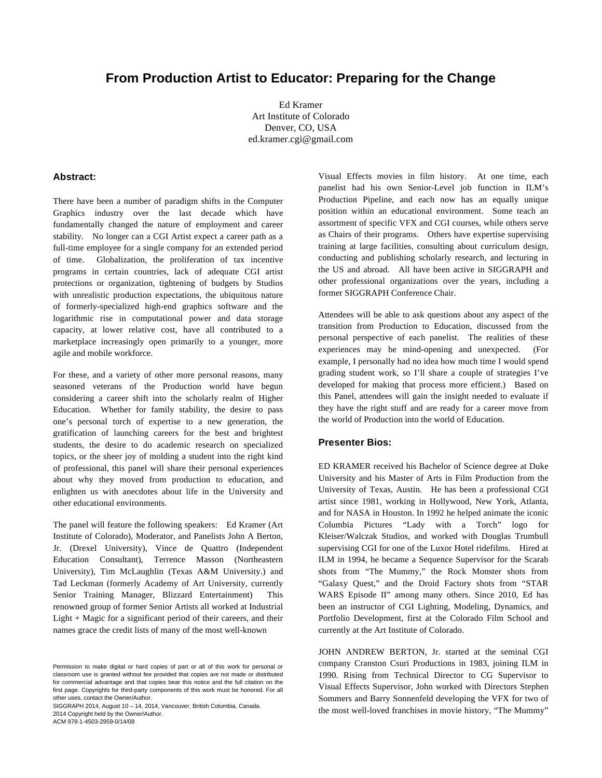## **From Production Artist to Educator: Preparing for the Change**

Ed Kramer Art Institute of Colorado Denver, CO, USA ed.kramer.cgi@gmail.com

## **Abstract:**

There have been a number of paradigm shifts in the Computer Graphics industry over the last decade which have fundamentally changed the nature of employment and career stability. No longer can a CGI Artist expect a career path as a full-time employee for a single company for an extended period of time. Globalization, the proliferation of tax incentive programs in certain countries, lack of adequate CGI artist protections or organization, tightening of budgets by Studios with unrealistic production expectations, the ubiquitous nature of formerly-specialized high-end graphics software and the logarithmic rise in computational power and data storage capacity, at lower relative cost, have all contributed to a marketplace increasingly open primarily to a younger, more agile and mobile workforce.

For these, and a variety of other more personal reasons, many seasoned veterans of the Production world have begun considering a career shift into the scholarly realm of Higher Education. Whether for family stability, the desire to pass one's personal torch of expertise to a new generation, the gratification of launching careers for the best and brightest students, the desire to do academic research on specialized topics, or the sheer joy of molding a student into the right kind of professional, this panel will share their personal experiences about why they moved from production to education, and enlighten us with anecdotes about life in the University and other educational environments.

The panel will feature the following speakers: Ed Kramer (Art Institute of Colorado), Moderator, and Panelists John A Berton, Jr. (Drexel University), Vince de Quattro (Independent Education Consultant), Terrence Masson (Northeastern University), Tim McLaughlin (Texas A&M University.) and Tad Leckman (formerly Academy of Art University, currently Senior Training Manager, Blizzard Entertainment) This renowned group of former Senior Artists all worked at Industrial Light + Magic for a significant period of their careers, and their names grace the credit lists of many of the most well-known

SIGGRAPH 2014, August 10 – 14, 2014, Vancouver, British Columbia, Canada.

2014 Copyright held by the Owner/Author.

ACM 978-1-4503-2959-0/14/08

Visual Effects movies in film history. At one time, each panelist had his own Senior-Level job function in ILM's Production Pipeline, and each now has an equally unique position within an educational environment. Some teach an assortment of specific VFX and CGI courses, while others serve as Chairs of their programs. Others have expertise supervising training at large facilities, consulting about curriculum design, conducting and publishing scholarly research, and lecturing in the US and abroad. All have been active in SIGGRAPH and other professional organizations over the years, including a former SIGGRAPH Conference Chair.

Attendees will be able to ask questions about any aspect of the transition from Production to Education, discussed from the personal perspective of each panelist. The realities of these experiences may be mind-opening and unexpected. (For example, I personally had no idea how much time I would spend grading student work, so I'll share a couple of strategies I've developed for making that process more efficient.) Based on this Panel, attendees will gain the insight needed to evaluate if they have the right stuff and are ready for a career move from the world of Production into the world of Education.

## **Presenter Bios:**

ED KRAMER received his Bachelor of Science degree at Duke University and his Master of Arts in Film Production from the University of Texas, Austin. He has been a professional CGI artist since 1981, working in Hollywood, New York, Atlanta, and for NASA in Houston. In 1992 he helped animate the iconic Columbia Pictures "Lady with a Torch" logo for Kleiser/Walczak Studios, and worked with Douglas Trumbull supervising CGI for one of the Luxor Hotel ridefilms. Hired at ILM in 1994, he became a Sequence Supervisor for the Scarab shots from "The Mummy," the Rock Monster shots from "Galaxy Quest," and the Droid Factory shots from "STAR WARS Episode II" among many others. Since 2010, Ed has been an instructor of CGI Lighting, Modeling, Dynamics, and Portfolio Development, first at the Colorado Film School and currently at the Art Institute of Colorado.

JOHN ANDREW BERTON, Jr. started at the seminal CGI company Cranston Csuri Productions in 1983, joining ILM in 1990. Rising from Technical Director to CG Supervisor to Visual Effects Supervisor, John worked with Directors Stephen Sommers and Barry Sonnenfeld developing the VFX for two of the most well-loved franchises in movie history, "The Mummy"

Permission to make digital or hard copies of part or all of this work for personal or classroom use is granted without fee provided that copies are not made or distributed for commercial advantage and that copies bear this notice and the full citation on the first page. Copyrights for third-party components of this work must be honored. For all other uses, contact the Owner/Author.